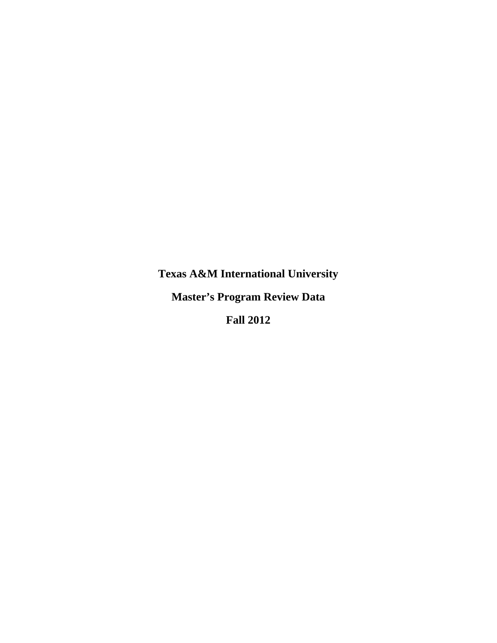**Texas A&M International University Master's Program Review Data Fall 2012**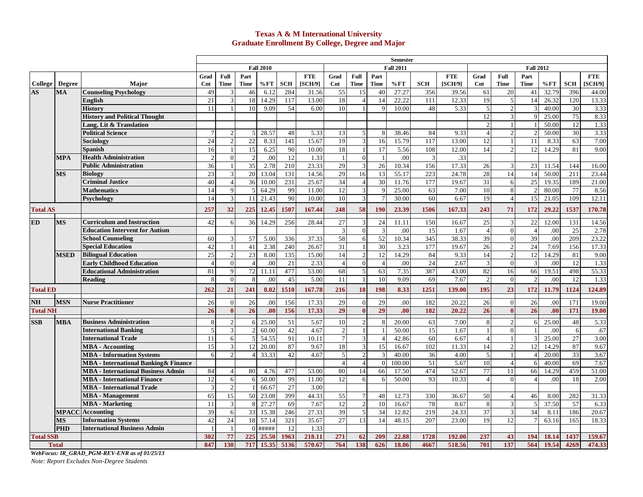### **Texas A & M International University Graduate Enrollment By College, Degree and Major**

|                  |               |                                              |                |                |                          |                  |                 |            |                 |                         |                 | <b>Semester</b>  |                 |            |                 |                |                          |       |                 |              |
|------------------|---------------|----------------------------------------------|----------------|----------------|--------------------------|------------------|-----------------|------------|-----------------|-------------------------|-----------------|------------------|-----------------|------------|-----------------|----------------|--------------------------|-------|-----------------|--------------|
|                  |               |                                              |                |                |                          | <b>Fall 2010</b> |                 |            |                 |                         |                 | <b>Fall 2011</b> |                 |            |                 |                | <b>Fall 2012</b>         |       |                 |              |
|                  |               |                                              | Grad           | Full           | Part                     |                  |                 | <b>FTE</b> | Grad            | Full                    | Part            |                  |                 | <b>FTE</b> | Grad            | Full           | Part                     |       |                 | <b>FTE</b>   |
| College          | <b>Degree</b> | <b>Maior</b>                                 | $\mathbf{Cnt}$ | <b>Time</b>    | <b>Time</b>              | % FT             | <b>SCH</b>      | [SCH/9]    | $\mathbf{Cnt}$  | <b>Time</b>             | <b>Time</b>     | %FT              | <b>SCH</b>      | [SCH/9]    | Cnt             | <b>Time</b>    | Time                     | %FT   | <b>SCH</b>      | <b>SCH/9</b> |
| AS               | <b>MA</b>     | <b>Counseling Psychology</b>                 | 49             | 3              | 46                       | 6.12             | 284             | 31.56      | 55              | 15                      | 40              | 27.27            | 356             | 39.56      | 61              | 20             | 41                       | 32.79 | 396             | 44.00        |
|                  |               | English                                      | 21             | 3              | 18                       | 14.29            | 117             | 13.00      | 18              | $\overline{4}$          | 14              | 22.22            | 111             | 12.33      | 19              | 5 <sub>1</sub> | 14                       | 26.32 | 120             | 13.33        |
|                  |               | <b>History</b>                               | 11             |                | 10                       | 9.09             | 54              | 6.00       | 10              |                         | $\mathbf Q$     | 10.00            | 48              | 5.33       | 5               | $\mathbf 2$    | 3                        | 40.00 | 30              | 3.33         |
|                  |               | <b>History and Political Thought</b>         |                |                |                          |                  |                 |            |                 |                         |                 |                  |                 |            | 12              | $\overline{3}$ | $\mathbf Q$              | 25.00 | 75              | 8.33         |
|                  |               | Lang, Lit & Translation                      |                |                |                          |                  |                 |            |                 |                         |                 |                  |                 |            | $\mathfrak{D}$  |                |                          | 50.00 | 12              | 1.33         |
|                  |               | <b>Political Science</b>                     | $\overline{7}$ | $\overline{2}$ | 5                        | 28.57            | 48              | 5.33       | 13              | 5                       | -8              | 38.46            | 84              | 9.33       | $\overline{4}$  | $\overline{2}$ |                          | 50.00 | 30              | 3.33         |
|                  |               | Sociology                                    | 24             | $\overline{2}$ | $22\,$                   | 8.33             | 141             | 15.67      | 19              | $\mathbf{3}$            | 16              | 15.79            | 117             | 13.00      | 12              | $\mathbf{1}$   | 11                       | 8.33  | 63              | 7.00         |
|                  |               | Spanish                                      | 16             | $\overline{1}$ | 15                       | 6.25             | 90              | 10.00      | 18              | $\overline{1}$          | 17              | 5.56             | 108             | 12.00      | 14              | $\mathfrak{D}$ | 12                       | 14.29 | 81              | 9.00         |
|                  | <b>MPA</b>    | <b>Health Administration</b>                 | $\overline{2}$ | $\Omega$       | $\mathfrak{D}$           | .00              | 12              | 1.33       | $\mathbf{1}$    | $\mathbf{0}$            |                 | .00              | 3               | .33        |                 |                |                          |       |                 |              |
|                  |               | <b>Public Administration</b>                 | 36             |                | 35                       | 2.78             | 210             | 23.33      | 29              | 3                       | 26              | 10.34            | 156             | 17.33      | 26              | $\overline{3}$ | 23                       | 11.54 | 144             | 16.00        |
|                  | <b>MS</b>     | <b>Biology</b>                               | 23             | 3              | 20                       | 13.04            | 131             | 14.56      | 29              | 16                      | 13              | 55.17            | 223             | 24.78      | $28\,$          | 14             | 14                       | 50.00 | 211             | 23.44        |
|                  |               | <b>Criminal Justice</b>                      | 40             | $\overline{4}$ | 36                       | 10.00            | 231             | 25.67      | 34              | $\overline{4}$          | 30              | 11.76            | 177             | 19.67      | 31              | 6              | 25                       | 19.35 | 189             | 21.00        |
|                  |               | <b>Mathematics</b>                           | 14             | 9              | $\overline{\phantom{0}}$ | 64.29            | 99              | 11.00      | 12              | $\mathbf{3}$            | q               | 25.00            | 63              | 7.00       | 10              | 8              |                          | 80.00 | 77              | 8.56         |
|                  |               | Psychology                                   | 14             | 3              | 11                       | 21.43            | 90              | 10.00      | 10              | $\overline{3}$          | $7\phantom{.0}$ | 30.00            | 60              | 6.67       | 19              | $\overline{4}$ | 15                       | 21.05 | 109             | 12.11        |
| <b>Total AS</b>  |               |                                              | 257            | 32             | 225                      | 12.45            | 1507            | 167.44     | 248             | 58                      | 190             | 23.39            | 1506            | 167.33     | 243             | 71             | 172                      | 29.22 | 1537            | 170.78       |
| <b>ED</b>        | <b>MS</b>     | <b>Curriculum and Instruction</b>            | 42             | 6              | 36                       | 14.29            | 256             | 28.44      | 27              | $\overline{3}$          | 24              | 11.11            | 150             | 16.67      | $\overline{25}$ | $\overline{3}$ | $\overline{22}$          | 12.00 | 131             | 14.56        |
|                  |               | <b>Education Intervent for Autism</b>        |                |                |                          |                  |                 |            | 3               | $\mathbf{0}$            | 3               | .00              | $\overline{15}$ | 1.67       | $\overline{4}$  | $\mathbf{0}$   | $\overline{4}$           | .00   | $\overline{25}$ | 2.78         |
|                  |               | <b>School Counseling</b>                     | 60             | 3              | 57                       | 5.00             | 336             | 37.33      | 58              | 6                       | 52              | 10.34            | 345             | 38.33      | 39              | $\overline{0}$ | 39                       | .00   | 209             | 23.22        |
|                  |               | <b>Special Education</b>                     | 42             | $\mathbf{1}$   | 41                       | 2.38             | 240             | 26.67      | 31              |                         | 30              | 3.23             | 177             | 19.67      | $26\,$          | $\overline{2}$ | 24                       | 7.69  | 156             | 17.33        |
|                  | <b>MSED</b>   | <b>Bilingual Education</b>                   | 25             | $\overline{2}$ | 23                       | 8.00             | 135             | 15.00      | 14              | $\overline{2}$          | 12              | 14.29            | 84              | 9.33       | 14              | $\overline{2}$ | 12                       | 14.29 | 81              | 9.00         |
|                  |               | <b>Early Childhood Education</b>             | $\overline{A}$ | $\mathbf{0}$   | $\overline{4}$           | .00              | 21              | 2.33       | $\overline{4}$  | $\mathbf{0}$            | $\overline{4}$  | .00              | 24              | 2.67       | 3               | $\overline{0}$ | 3                        | .00   | 12              | 1.33         |
|                  |               | <b>Educational Administration</b>            | 81             | 9              | 72                       | 11.11            | 477             | 53.00      | 68              | $\overline{5}$          | 63              | 7.35             | 387             | 43.00      | 82              | 16             | 66                       | 19.51 | 498             | 55.33        |
|                  |               | <b>Reading</b>                               | 8              | $\Omega$       | 8                        | .00              | 45              | 5.00       | 11              |                         | 10              | 9.09             | 69              | 7.67       | $\overline{2}$  | $\overline{0}$ | $\overline{\mathcal{L}}$ | .00   | 12              | 1.33         |
| <b>Total ED</b>  |               |                                              | 262            | 21             | 241                      | 8.02             | 1510            | 167.78     | 216             | 18                      | 198             | 8.33             | 1251            | 139.00     | 195             | 23             | 172                      | 11.79 | 1124            | 124.89       |
| <b>NH</b>        | <b>MSN</b>    | <b>Nurse Practitioner</b>                    | 26             | $\mathbf{0}$   | $\overline{26}$          | .00              | 156             | 17.33      | 29              | $\Omega$                | 29              | .00              | 182             | 20.22      | 26              | $\Omega$       | $\overline{26}$          | .00   | 171             | 19.00        |
| <b>Total NH</b>  |               |                                              | 26             | $\mathbf{0}$   | 26                       | .00              | 156             | 17.33      | 29              | $\mathbf{0}$            | 29              | .00              | 182             | 20.22      | 26              | $\bf{0}$       | $\overline{26}$          | .00   | 171             | 19.00        |
|                  |               |                                              |                |                |                          |                  |                 |            |                 |                         |                 |                  |                 |            |                 |                |                          |       |                 |              |
| <b>SSB</b>       | <b>MBA</b>    | <b>Business Administration</b>               | 8              | $\sqrt{2}$     | 6                        | 25.00            | $\overline{51}$ | 5.67       | 10              | $\sqrt{2}$              | 8               | 20.00            | 63              | 7.00       | $8\phantom{1}$  | $\overline{c}$ | 6                        | 25.00 | 48              | 5.33         |
|                  |               | <b>International Banking</b>                 | 5              | 3              |                          | 60.00            | 42              | 4.67       | $\overline{c}$  | $\mathbf{1}$            |                 | 50.00            | $\overline{15}$ | 1.67       |                 | $\overline{0}$ |                          | .00   | 6               | .67          |
|                  |               | <b>International Trade</b>                   | 11             | 6              |                          | 54.55            | 91              | 10.11      | $\overline{7}$  | $\mathbf{3}$            | $\overline{4}$  | 42.86            | 60              | 6.67       | $\overline{4}$  |                | 3                        | 25.00 | $\overline{27}$ | 3.00         |
|                  |               | MBA - Accounting                             | 15             | $\mathfrak{Z}$ | 12                       | 20.00            | 87              | 9.67       | 18              | $\mathfrak{Z}$          | 15              | 16.67            | 102             | 11.33      | 14              | $\overline{2}$ | 12                       | 14.29 | 87              | 9.67         |
|                  |               | <b>MBA</b> - Information Systems             | 6              | $\mathcal{D}$  |                          | 33.33            | 42              | 4.67       | $\overline{5}$  | $\overline{2}$          |                 | 40.00            | 36              | 4.00       | $\overline{5}$  |                |                          | 20.00 | $\overline{33}$ | 3.67         |
|                  |               | <b>MBA</b> - International Banking & Finance |                |                |                          |                  |                 |            | $\overline{4}$  | $\overline{4}$          | $\sqrt{ }$      | 100.00           | 51              | 5.67       | 10              | $\overline{4}$ | 6                        | 40.00 | 69              | 7.67         |
|                  |               | <b>MBA - International Business Admin</b>    | 84             | $\overline{A}$ | 80                       | 4.76             | 477             | 53.00      | 80              | 14                      | 66              | 17.50            | 474             | 52.67      | 77              | 11             | 66                       | 14.29 | 459             | 51.00        |
|                  |               | <b>MBA</b> - International Finance           | 12             | 6              |                          | 50.00            | 99              | 11.00      | 12              | 6                       | 6               | 50.00            | 93              | 10.33      | $\overline{4}$  | $\Omega$       | $\boldsymbol{\Delta}$    | .00   | 18              | 2.00         |
|                  |               | <b>MBA - International Trade</b>             | 3              | $\overline{c}$ |                          | 66.67            | $\overline{27}$ | 3.00       |                 |                         |                 |                  |                 |            |                 |                |                          |       |                 |              |
|                  |               | <b>MBA</b> - Management                      | 65             | 15             | 50                       | 23.08            | 399             | 44.33      | $\overline{55}$ | $\overline{7}$          | 48              | 12.73            | 330             | 36.67      | 50              | 4              | 46                       | 8.00  | 282             | 31.33        |
|                  |               | <b>MBA</b> - Marketing                       | 11             | 3              | 8                        | 27.27            | 69              | 7.67       | 12              | $\overline{\mathbf{c}}$ | 10              | 16.67            | 78              | 8.67       | 8               | $\overline{3}$ | $\overline{5}$           | 37.50 | 57              | 6.33         |
|                  |               | <b>MPACC</b> Accounting                      | 39             | 6              | 33                       | 15.38            | 246             | 27.33      | 39              | 5                       | 34              | 12.82            | 219             | 24.33      | $\overline{37}$ | $\overline{3}$ | 34                       | 8.11  | 186             | 20.67        |
|                  | <b>MS</b>     | <b>Information Systems</b>                   | 42             | 24             | 18                       | 57.14            | 321             | 35.67      | 27              | 13                      | 14              | 48.15            | 207             | 23.00      | 19              | 12             |                          | 63.16 | 165             | 18.33        |
|                  | PHD           | <b>International Business Admin</b>          |                | $\overline{1}$ | $\Omega$                 | #####            | 12              | 1.33       |                 |                         |                 |                  |                 |            |                 |                |                          |       |                 |              |
| <b>Total SSB</b> |               |                                              | 302            | 77             | 225<br>717               | 25.50            | 1963            | 218.11     | 271             | 62                      | 209             | 22.88            | 1728<br>4667    | 192.00     | 237<br>701      | 43             | 194                      | 18.14 | 1437            | 159.67       |
|                  | <b>Total</b>  |                                              | 847            | 130            |                          | 15.35            | 5136            | 570.67     | 764             | 138                     | 626             | 18.06            |                 | 518.56     |                 | 137            | 564                      | 19.54 | 4269            | 474.33       |

*WebFocus: IR\_GRAD\_PGM-REV-ENR as of 01/25/13* 

*Note: Report Excludes Non-Degree Students*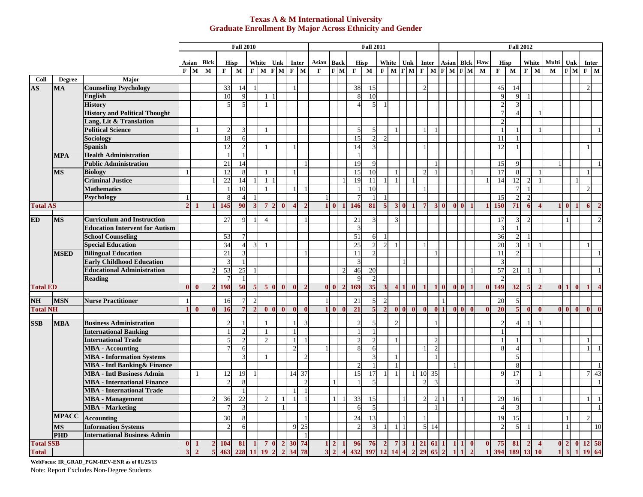### **Texas A & M International University Graduate Enrollment By Major Across Ethnicity and Gender**

|                                   |                        |                                       |                |              |                    |                     | <b>Fall 2010</b> |                |                          |                |                |                       |                |             |                                  |                         | <b>Fall 2011</b>         |                         |                   |              |                |                |                |                |                |                | <b>Fall 2012</b> |                       |                |                |             |                |              |                              |
|-----------------------------------|------------------------|---------------------------------------|----------------|--------------|--------------------|---------------------|------------------|----------------|--------------------------|----------------|----------------|-----------------------|----------------|-------------|----------------------------------|-------------------------|--------------------------|-------------------------|-------------------|--------------|----------------|----------------|----------------|----------------|----------------|----------------|------------------|-----------------------|----------------|----------------|-------------|----------------|--------------|------------------------------|
|                                   |                        |                                       |                |              |                    |                     |                  |                |                          |                |                |                       |                |             |                                  |                         |                          |                         |                   |              |                |                |                |                |                |                |                  |                       |                |                |             |                |              |                              |
|                                   |                        |                                       |                | Asian        | <b>Blck</b>        |                     | <b>Hisp</b>      |                |                          | White Unk      |                | Inter                 |                | Asian       | <b>Back</b>                      |                         | Hisp                     |                         | White             | Unk          |                | <b>Inter</b>   |                |                |                | Asian Blck Haw |                  | <b>Hisp</b>           |                | White          | Multi       |                | <b>Unk</b>   | Inter                        |
|                                   |                        |                                       | $\mathbf{F}$   | $\mathbf{M}$ | $\mathbf M$        | F                   | $\mathbf M$      |                |                          | $F$ M $F$ M    |                | $F$ M                 |                | $\mathbf F$ | $F$ M                            | $\mathbf{F}$            | M                        |                         | $F$ M $F$ M $F$ M |              |                |                | $F$ M $F$ M    |                |                | $\mathbf M$    | $\mathbf F$      | $\mathbf M$           |                | $F$ M          | $\mathbf M$ |                |              | $F$ M $F$ M                  |
| Coll                              | <b>Degree</b>          | Major                                 |                |              |                    |                     |                  |                |                          |                |                |                       |                |             |                                  |                         |                          |                         |                   |              |                |                |                |                |                |                |                  |                       |                |                |             |                |              |                              |
| $\overline{\mathbf{A}\mathbf{S}}$ | <b>MA</b>              | <b>Counseling Psychology</b>          |                |              |                    | 33                  | 14               |                |                          |                |                |                       |                |             |                                  | 38                      | 15                       |                         |                   |              |                |                |                |                |                |                | 45               | 14                    |                |                |             |                |              | $\mathfrak{D}$               |
|                                   |                        | <b>English</b>                        |                |              |                    | 10                  |                  |                |                          |                |                |                       |                |             |                                  | 8                       | 10                       |                         |                   |              |                |                |                |                |                |                |                  | q                     |                |                |             |                |              |                              |
|                                   |                        | <b>History</b>                        |                |              |                    | 5                   | $\overline{5}$   |                |                          |                |                |                       |                |             |                                  | $\overline{4}$          | $\mathcal{F}$            |                         |                   |              |                |                |                |                |                |                |                  |                       |                |                |             |                |              |                              |
|                                   |                        | <b>History and Political Thought</b>  |                |              |                    |                     |                  |                |                          |                |                |                       |                |             |                                  |                         |                          |                         |                   |              |                |                |                |                |                |                |                  |                       |                |                |             |                |              |                              |
|                                   |                        | Lang, Lit & Translation               |                |              |                    |                     |                  |                |                          |                |                |                       |                |             |                                  |                         |                          |                         |                   |              |                |                |                |                |                |                |                  |                       |                |                |             |                |              |                              |
|                                   |                        | <b>Political Science</b>              |                |              |                    |                     |                  |                |                          |                |                |                       |                |             |                                  |                         |                          |                         |                   |              |                |                |                |                |                |                |                  |                       |                |                |             |                |              |                              |
|                                   |                        | Sociology                             |                |              |                    | 18                  | 6                |                |                          |                |                |                       |                |             |                                  | 15                      |                          |                         |                   |              |                |                |                |                |                |                | 11               |                       |                |                |             |                |              |                              |
|                                   |                        | Spanish                               |                |              |                    | 12                  | $\overline{c}$   |                |                          |                |                |                       |                |             |                                  | 14                      |                          |                         |                   |              |                |                |                |                |                |                | 12               |                       |                |                |             |                |              |                              |
|                                   | <b>MPA</b>             | <b>Health Administration</b>          |                |              |                    |                     |                  |                |                          |                |                |                       |                |             |                                  |                         |                          |                         |                   |              |                |                |                |                |                |                |                  |                       |                |                |             |                |              |                              |
|                                   |                        | <b>Public Administration</b>          |                |              |                    | 21                  | 14               |                |                          |                |                |                       |                |             |                                  | 19                      |                          |                         |                   |              |                |                |                |                |                |                | 15               |                       |                |                |             |                |              |                              |
|                                   | <b>MS</b>              | <b>Biology</b>                        |                |              |                    | 12                  | 8                |                |                          |                |                |                       |                |             |                                  | 15                      | 10                       |                         |                   |              | 2              |                |                |                |                |                | 17               | 8                     |                |                |             |                |              |                              |
|                                   |                        | <b>Criminal Justice</b>               |                |              |                    | 22                  | 14               |                |                          |                |                |                       |                |             |                                  | 19                      | 11                       |                         |                   |              |                |                |                |                |                |                | 14               | 12                    | 2              |                |             |                |              |                              |
|                                   |                        | <b>Mathematics</b>                    |                |              |                    |                     | 10               |                |                          |                |                |                       |                |             |                                  |                         | 10                       |                         |                   |              |                |                |                |                |                |                |                  |                       |                |                |             |                |              |                              |
|                                   |                        | <b>Psychology</b>                     |                |              |                    | 8                   | $\overline{4}$   |                |                          |                |                |                       |                |             |                                  |                         |                          |                         |                   |              |                |                |                |                |                |                | 15               | $\overline{2}$        | $\sqrt{2}$     |                |             |                |              |                              |
| <b>Total AS</b>                   |                        |                                       | $\overline{2}$ |              |                    | 145                 | 90               | 3              | 7 <sup>1</sup>           | $\overline{2}$ | $\mathbf{0}$   | $\boldsymbol{\Delta}$ |                |             | $\mathbf{0}$<br>$\blacksquare$   | 146                     | 81                       | 5                       | $\mathbf{3}$      | $\mathbf{0}$ | 7              |                | $\mathbf{0}$   | 0 <sub>0</sub> |                |                | 150              | 71                    | 6              |                |             | $\mathbf{0}$   |              | 6                            |
|                                   |                        |                                       |                |              |                    |                     |                  |                |                          |                |                |                       |                |             |                                  |                         |                          |                         |                   |              |                |                |                |                |                |                |                  |                       |                |                |             |                |              |                              |
| <b>ED</b>                         | <b>MS</b>              | <b>Curriculum and Instruction</b>     |                |              |                    | 27                  | $\mathbf Q$      |                | $\boldsymbol{\varDelta}$ |                |                |                       |                |             |                                  | 21                      |                          |                         | 3                 |              |                |                |                |                |                |                | 17               | 3                     | $\mathcal{D}$  |                |             |                |              |                              |
|                                   |                        | <b>Education Intervent for Autism</b> |                |              |                    |                     |                  |                |                          |                |                |                       |                |             |                                  | $\overline{\mathbf{3}}$ |                          |                         |                   |              |                |                |                |                |                |                |                  |                       |                |                |             |                |              |                              |
|                                   |                        | <b>School Counseling</b>              |                |              |                    | 53                  |                  |                |                          |                |                |                       |                |             |                                  | $\overline{51}$         | 6                        |                         |                   |              |                |                |                |                |                |                | 36               | $\overline{c}$        |                |                |             |                |              |                              |
|                                   |                        | <b>Special Education</b>              |                |              |                    | $\overline{34}$     | $\overline{4}$   | 3              |                          |                |                |                       |                |             |                                  | $\overline{25}$         | $\overline{c}$           | $\mathcal{D}$           |                   |              |                |                |                |                |                |                | 20               | 3                     |                |                |             |                |              |                              |
|                                   | <b>MSED</b>            | <b>Bilingual Education</b>            |                |              |                    | 21                  | 3                |                |                          |                |                |                       |                |             |                                  | 11                      |                          |                         |                   |              |                |                |                |                |                |                | 11               |                       |                |                |             |                |              |                              |
|                                   |                        | <b>Early Childhood Education</b>      |                |              |                    | 3                   |                  |                |                          |                |                |                       |                |             |                                  | $\mathfrak{Z}$          |                          |                         |                   |              |                |                |                |                |                |                |                  |                       |                |                |             |                |              |                              |
|                                   |                        | <b>Educational Administration</b>     |                |              |                    | 53                  | 25               |                |                          |                |                |                       |                |             |                                  | 46                      | 20                       |                         |                   |              |                |                |                |                |                |                | 57               | 21                    |                |                |             |                |              |                              |
|                                   |                        | <b>Reading</b>                        |                |              |                    |                     |                  |                |                          |                |                |                       |                |             |                                  | $\overline{Q}$          | $\overline{2}$           |                         |                   |              |                |                |                |                |                |                |                  |                       |                |                |             |                |              |                              |
| <b>Total ED</b>                   |                        |                                       | $\mathbf{0}$   | $\mathbf{0}$ | $\overline{2}$     | 198                 | 50               | $\sqrt{5}$     |                          | 50             | $\bf{0}$       | $\mathbf{0}$          |                |             | 0 <sub>0</sub><br>$\overline{2}$ | 169                     | 35                       | $\overline{\mathbf{3}}$ | $\overline{4}$    | $\bf{0}$     | $\mathbf{1}$   | $\mathbf{1}$   | $\bullet$      | 0 <sub>0</sub> | $\blacksquare$ | $\mathbf{0}$   | 149              | 32                    | $\overline{5}$ | $\overline{2}$ |             | 0 <sub>1</sub> | $\mathbf{0}$ |                              |
| <b>NH</b>                         | <b>MSN</b>             | <b>Nurse Practitioner</b>             |                |              |                    | 16                  | $\overline{7}$   | $\overline{c}$ |                          |                |                |                       |                |             |                                  | 21                      | $\mathfrak{S}$           | $\overline{2}$          |                   |              |                |                | $\mathbf{1}$   |                |                |                | 20               | 5                     |                |                |             |                |              |                              |
| <b>Total NH</b>                   |                        |                                       |                | $\mathbf{0}$ | $\mathbf{0}$       | 16                  | $\overline{7}$   | $\overline{2}$ |                          | 0 <sub>0</sub> | $\mathbf{0}$   | $\mathbf{0}$          | $\mathbf{0}$   |             | $\mathbf{0}$<br>$\bf{0}$         | 21                      | $\overline{5}$           |                         | 0 <sub>0</sub>    | $\bf{0}$     | $\mathbf{0}$   |                | 0 <sup>1</sup> | 0 <sub>0</sub> | $\mathbf{0}$   |                | 20               | $\overline{5}$        | $\mathbf{0}$   | $\mathbf{0}$   |             | 0 <sub>0</sub> | $\mathbf{0}$ | $\mathbf{0}$<br>$\mathbf{0}$ |
|                                   |                        |                                       |                |              |                    |                     |                  |                |                          |                |                |                       |                |             |                                  |                         |                          |                         |                   |              |                |                |                |                |                |                |                  |                       |                |                |             |                |              |                              |
| <b>SSB</b>                        | <b>MBA</b>             | <b>Business Administration</b>        |                |              |                    | $\overline{2}$      |                  |                |                          |                |                |                       | $\mathcal{R}$  |             |                                  | $\sqrt{2}$              | 5                        |                         | $\overline{2}$    |              |                | $\mathbf{1}$   |                |                |                |                |                  | $\boldsymbol{\Delta}$ |                |                |             |                |              |                              |
|                                   |                        | <b>International Banking</b>          |                |              |                    |                     |                  |                |                          |                |                |                       |                |             |                                  |                         |                          |                         |                   |              |                |                |                |                |                |                |                  |                       |                |                |             |                |              |                              |
|                                   |                        | <b>International Trade</b>            |                |              |                    | $\overline{5}$      | $\overline{c}$   |                | $\overline{c}$           |                |                |                       |                |             |                                  | $\overline{c}$          | $\mathfrak{D}$           |                         |                   |              |                | $\mathfrak{D}$ |                |                |                |                |                  |                       |                |                |             |                |              |                              |
|                                   |                        | <b>MBA</b> - Accounting               |                |              |                    |                     | 6                |                |                          |                |                | $\overline{2}$        |                |             |                                  | 8                       | 6                        |                         |                   |              |                | $\mathcal{P}$  |                |                |                |                |                  | 4                     |                |                |             |                |              |                              |
|                                   |                        | <b>MBA - Information Systems</b>      |                |              |                    |                     | 3                |                |                          |                |                |                       | $\mathfrak{I}$ |             |                                  |                         | 3                        |                         |                   |              |                |                |                |                |                |                |                  | 5                     |                |                |             |                |              |                              |
|                                   |                        | <b>MBA</b> - Intl Banking& Finance    |                |              |                    |                     |                  |                |                          |                |                |                       |                |             |                                  |                         |                          |                         |                   |              |                |                |                |                |                |                |                  | 8                     |                |                |             |                |              |                              |
|                                   |                        | <b>MBA - Intl Business Admin</b>      |                |              |                    | 12                  | 19               |                |                          |                |                | 14 37                 |                |             |                                  | 15                      | 17                       |                         |                   |              | 10             | 35             |                |                |                |                | $\Omega$         | 17                    |                |                |             |                |              | 43<br>7 <sup>1</sup>         |
|                                   |                        | <b>MBA</b> - International Finance    |                |              |                    | $\mathcal{D}$       | 8                |                |                          |                |                |                       | $\mathcal{D}$  |             |                                  |                         | $\overline{\phantom{0}}$ |                         |                   |              | $\mathfrak{D}$ |                |                |                |                |                |                  |                       |                |                |             |                |              |                              |
|                                   |                        | <b>MBA</b> - International Trade      |                |              |                    |                     | $\mathbf{1}$     |                |                          |                |                |                       |                |             |                                  |                         |                          |                         |                   |              |                |                |                |                |                |                |                  |                       |                |                |             |                |              |                              |
|                                   |                        | <b>MBA</b> - Management               |                |              | $\mathfrak{D}_{1}$ | 36                  | 22               |                | $\overline{2}$           |                |                |                       |                |             | $\mathbf{1}$                     | 33                      | 15                       |                         |                   |              | $\mathfrak{D}$ | $\mathfrak{D}$ | $\mathbf{1}$   |                |                |                | 29               | 16                    |                |                |             |                |              |                              |
|                                   |                        | <b>MBA</b> - Marketing                |                |              |                    | $\overline{7}$      | 3                |                |                          |                |                |                       |                |             |                                  | 6                       | $\overline{5}$           |                         |                   |              |                | $\mathbf{1}$   |                |                |                |                |                  | $\mathcal{R}$         |                |                |             |                |              |                              |
|                                   | <b>MPACC</b>           |                                       |                |              |                    |                     |                  |                |                          |                |                |                       |                |             |                                  |                         |                          |                         |                   |              |                |                |                |                |                |                |                  |                       |                |                |             |                |              |                              |
|                                   |                        | <b>Accounting</b>                     |                |              |                    | 30<br>$\mathcal{D}$ | 8                |                |                          |                |                |                       |                |             |                                  | 24<br>$\mathcal{D}$     | 13                       |                         |                   |              |                |                |                |                |                |                | 19               | 15<br>$\overline{5}$  |                |                |             |                |              | $\mathfrak{D}$               |
|                                   | $\overline{\text{MS}}$ | <b>Information Systems</b>            |                |              |                    |                     | 6                |                |                          |                |                | 25<br>9               |                |             |                                  |                         | $\overline{3}$           |                         |                   |              | 5              | 14             |                |                |                |                |                  |                       |                |                |             |                |              | 10                           |
|                                   | <b>PHD</b>             | <b>International Business Admin</b>   |                |              |                    |                     |                  |                |                          |                |                |                       |                |             |                                  |                         |                          |                         |                   |              |                |                |                |                |                |                |                  |                       |                |                |             |                |              |                              |
| <b>Total SSB</b>                  |                        |                                       | $\mathbf{0}$   |              | $\overline{2}$     | 104                 | 81               |                | 7                        | $\bf{0}$       | $\overline{2}$ | 30 74                 |                |             |                                  | 96<br>432               | 76                       |                         |                   |              | 21<br>29       | 61             |                |                | $\mathbf 0$    |                | 75               | 81                    | $\overline{2}$ |                |             | 0 <sup>2</sup> | $\mathbf{0}$ | 12 58                        |
| <b>Total</b>                      |                        |                                       |                |              |                    | 463                 | 228              |                |                          |                | $\overline{2}$ | 78<br>34              |                |             |                                  |                         | 197                      |                         |                   |              |                | 65             |                |                |                |                | 394              | 189                   | 13             | 10             |             |                |              | 64<br>19                     |

**WebFocus: IR\_GRAD\_PGM-REV-ENR as of 01/25/13** 

Note: Report Excludes Non-Degree Students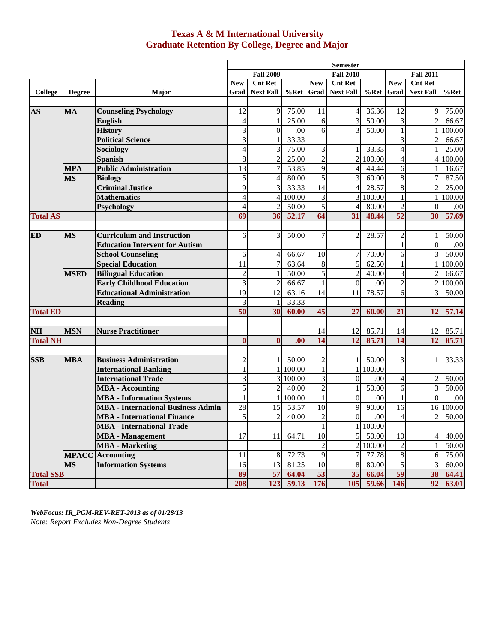## **Texas A & M International University Graduate Retention By College, Degree and Major**

|                  |               |                                           |                         |                  |          |                  | <b>Semester</b>  |          |                          |                  |          |
|------------------|---------------|-------------------------------------------|-------------------------|------------------|----------|------------------|------------------|----------|--------------------------|------------------|----------|
|                  |               |                                           |                         | <b>Fall 2009</b> |          |                  | <b>Fall 2010</b> |          |                          | <b>Fall 2011</b> |          |
|                  |               |                                           | <b>New</b>              | <b>Cnt Ret</b>   |          | <b>New</b>       | <b>Cnt Ret</b>   |          | <b>New</b>               | <b>Cnt Ret</b>   |          |
| College          | <b>Degree</b> | Major                                     | Grad                    | <b>Next Fall</b> | $%$ Ret  | Grad             | <b>Next Fall</b> | $%$ Ret  | Grad                     | <b>Next Fall</b> | $%$ Ret  |
|                  |               |                                           |                         |                  |          |                  |                  |          |                          |                  |          |
| <b>AS</b>        | <b>MA</b>     | <b>Counseling Psychology</b>              | 12                      | 9                | 75.00    | 11               | $\overline{4}$   | 36.36    | 12                       | 9                | 75.00    |
|                  |               | <b>English</b>                            | $\overline{4}$          | $\mathbf{1}$     | 25.00    | 6                | $\overline{3}$   | 50.00    | 3                        | $\overline{2}$   | 66.67    |
|                  |               | <b>History</b>                            | 3                       | $\overline{0}$   | .00      | 6                | $\overline{3}$   | 50.00    | $\mathbf{1}$             | $\mathbf{1}$     | 100.00   |
|                  |               | <b>Political Science</b>                  | $\overline{3}$          | $\mathbf{1}$     | 33.33    |                  |                  |          | 3                        | $\overline{2}$   | 66.67    |
|                  |               | Sociology                                 | $\overline{\mathbf{4}}$ | 3                | 75.00    | 3                | $\mathbf{1}$     | 33.33    | $\overline{\mathcal{L}}$ |                  | 25.00    |
|                  |               | Spanish                                   | 8                       | $\overline{c}$   | 25.00    | $\overline{2}$   |                  | 2 100.00 | 4                        |                  | 4 100.00 |
|                  | <b>MPA</b>    | <b>Public Administration</b>              | 13                      | $\overline{7}$   | 53.85    | $\overline{9}$   | $\vert 4 \vert$  | 44.44    | 6                        | $\mathbf{1}$     | 16.67    |
|                  | <b>MS</b>     | <b>Biology</b>                            | 5                       | $\overline{4}$   | 80.00    | 5                | $\overline{3}$   | 60.00    | $8\,$                    | $\overline{7}$   | 87.50    |
|                  |               | <b>Criminal Justice</b>                   | 9                       | $\overline{3}$   | 33.33    | 14               | $\vert$          | 28.57    | $\,8\,$                  | $\overline{2}$   | 25.00    |
|                  |               | <b>Mathematics</b>                        | 4                       | $\vert$          | 100.00   | 3                |                  | 3 100.00 | $\mathbf{1}$             | $\mathbf{1}$     | 100.00   |
|                  |               | <b>Psychology</b>                         | $\overline{4}$          | $\mathfrak{2}$   | 50.00    | 5                | $\overline{4}$   | 80.00    | $\overline{c}$           | $\Omega$         | .00      |
| <b>Total AS</b>  |               |                                           | 69                      | 36               | 52.17    | 64               | 31               | 48.44    | 52                       | 30               | 57.69    |
|                  |               |                                           |                         |                  |          |                  |                  |          |                          |                  |          |
| <b>ED</b>        | <b>MS</b>     | <b>Curriculum and Instruction</b>         | 6                       | 3                | 50.00    | $\boldsymbol{7}$ | $\overline{c}$   | 28.57    | $\sqrt{2}$               | 1                | 50.00    |
|                  |               | <b>Education Intervent for Autism</b>     |                         |                  |          |                  |                  |          | $\mathbf{1}$             | $\mathbf{0}$     | .00      |
|                  |               | <b>School Counseling</b>                  | 6                       | 4                | 66.67    | 10               | 7                | 70.00    | 6                        | 3                | 50.00    |
|                  |               | <b>Special Education</b>                  | 11                      | $\overline{7}$   | 63.64    | 8                | $\overline{5}$   | 62.50    | $\mathbf{1}$             | $\mathbf{1}$     | 100.00   |
|                  | <b>MSED</b>   | <b>Bilingual Education</b>                | $\overline{c}$          |                  | 50.00    | 5                | $\sqrt{2}$       | 40.00    | 3                        | $\overline{2}$   | 66.67    |
|                  |               | <b>Early Childhood Education</b>          | 3                       | $\overline{2}$   | 66.67    | $\mathbf{1}$     | $\boldsymbol{0}$ | .00      | $\overline{c}$           | $\overline{2}$   | 100.00   |
|                  |               | <b>Educational Administration</b>         | $\overline{19}$         | 12               | 63.16    | $\overline{14}$  | 11               | 78.57    | 6                        | 3                | 50.00    |
|                  |               | <b>Reading</b>                            | 3                       | -1               | 33.33    |                  |                  |          |                          |                  |          |
| <b>Total ED</b>  |               |                                           | 50                      | 30               | 60.00    | 45               | 27               | 60.00    | 21                       | 12               | 57.14    |
|                  |               |                                           |                         |                  |          |                  |                  |          |                          |                  |          |
| <b>NH</b>        | <b>MSN</b>    | <b>Nurse Practitioner</b>                 |                         |                  |          | 14               | 12               | 85.71    | 14                       | 12               | 85.71    |
| <b>Total NH</b>  |               |                                           | $\bf{0}$                | $\mathbf{0}$     | .00      | 14               | 12               | 85.71    | 14                       | 12               | 85.71    |
|                  |               |                                           |                         |                  |          |                  |                  |          |                          |                  |          |
| <b>SSB</b>       | <b>MBA</b>    | <b>Business Administration</b>            | $\overline{c}$          | 1                | 50.00    | $\overline{c}$   | $\mathbf{1}$     | 50.00    | 3                        | $\mathbf{1}$     | 33.33    |
|                  |               | <b>International Banking</b>              | $\mathbf{1}$            | $\mathbf{1}$     | 100.00   | $\mathbf{1}$     |                  | 1 100.00 |                          |                  |          |
|                  |               | <b>International Trade</b>                | 3                       |                  | 3 100.00 | $\overline{3}$   | $\overline{0}$   | .00      | 4                        | $\overline{2}$   | 50.00    |
|                  |               | <b>MBA</b> - Accounting                   | 5                       | $\overline{c}$   | 40.00    | $\overline{c}$   | $\mathbf{1}$     | 50.00    | 6                        | $\overline{3}$   | 50.00    |
|                  |               | <b>MBA - Information Systems</b>          | 1                       | $\mathbf{1}$     | 100.00   | $\mathbf{1}$     | $\overline{0}$   | .00      | $\mathbf{1}$             | $\overline{0}$   | .00      |
|                  |               | <b>MBA - International Business Admin</b> | 28                      | 15               | 53.57    | 10               | 9                | 90.00    | 16                       | 16               | 100.00   |
|                  |               | <b>MBA</b> - International Finance        | 5                       | $\overline{c}$   | 40.00    | $\overline{2}$   | $\mathbf{0}$     | .00      | $\overline{\mathcal{L}}$ | $\overline{2}$   | 50.00    |
|                  |               | <b>MBA</b> - International Trade          |                         |                  |          | 1                |                  | 1 100.00 |                          |                  |          |
|                  |               | <b>MBA</b> - Management                   | 17                      | 11               | 64.71    | 10               | 5 <sup>1</sup>   | 50.00    | 10                       | $\overline{4}$   | 40.00    |
|                  |               | <b>MBA</b> - Marketing                    |                         |                  |          | $\overline{c}$   |                  | 2 100.00 | $\overline{c}$           | 1                | 50.00    |
|                  |               | <b>MPACC</b> Accounting                   | 11                      | 8                | 72.73    | 9                | $\overline{7}$   | 77.78    | $8\,$                    | 6                | 75.00    |
|                  | <b>MS</b>     | <b>Information Systems</b>                | 16                      | 13               | 81.25    | 10               | $\,8\,$          | 80.00    | $\sqrt{5}$               | 3                | 60.00    |
| <b>Total SSB</b> |               |                                           | 89                      | 57               | 64.04    | 53               | 35               | 66.04    | 59                       | 38               | 64.41    |
| <b>Total</b>     |               |                                           | 208                     | 123              | 59.13    | 176              | 105              | 59.66    | 146                      | 92               | 63.01    |

*WebFocus: IR\_PGM-REV-RET-2013 as of 01/28/13 Note: Report Excludes Non-Degree Students*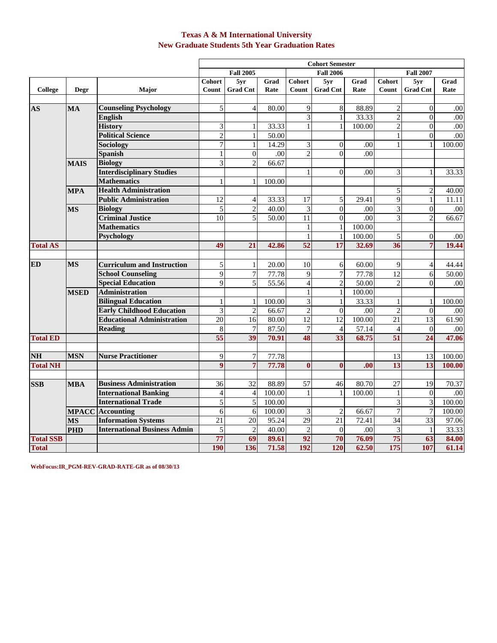### **Texas A & M International University New Graduate Students 5th Year Graduation Rates**

|                  |             |                                     |                         |                  |        |                         | <b>Cohort Semester</b> |        |                         |                  |                    |
|------------------|-------------|-------------------------------------|-------------------------|------------------|--------|-------------------------|------------------------|--------|-------------------------|------------------|--------------------|
|                  |             |                                     |                         | <b>Fall 2005</b> |        |                         | <b>Fall 2006</b>       |        |                         | <b>Fall 2007</b> |                    |
|                  |             |                                     | <b>Cohort</b>           | 5yr              | Grad   | Cohort                  | 5yr                    | Grad   | Cohort                  | 5yr              | Grad               |
| College          | Degr        | Major                               | Count                   | <b>Grad Cnt</b>  | Rate   | Count                   | <b>Grad Cnt</b>        | Rate   | Count                   | <b>Grad Cnt</b>  | Rate               |
|                  |             |                                     |                         |                  |        |                         |                        |        |                         |                  |                    |
| AS               | <b>MA</b>   | <b>Counseling Psychology</b>        | $\overline{5}$          | $\overline{4}$   | 80.00  | 9                       | 8                      | 88.89  | $\boldsymbol{2}$        | $\Omega$         | .00                |
|                  |             | English                             |                         |                  |        | 3                       | $\mathbf 1$            | 33.33  | $\overline{c}$          | $\Omega$         | .00                |
|                  |             | <b>History</b>                      | 3                       | $\,1$            | 33.33  | $\mathbf{1}$            | $\mathbf{1}$           | 100.00 | $\overline{2}$          | $\mathbf{0}$     | .00                |
|                  |             | <b>Political Science</b>            | $\overline{2}$          | $\,1\,$          | 50.00  |                         |                        |        | $\mathbf{1}$            | $\boldsymbol{0}$ | .00                |
|                  |             | <b>Sociology</b>                    | 7                       | $\mathbf{1}$     | 14.29  | 3                       | $\overline{0}$         | .00    | $\mathbf{1}$            | 1                | 100.00             |
|                  |             | <b>Spanish</b>                      | $\mathbf{1}$            | $\boldsymbol{0}$ | .00    | $\overline{2}$          | $\boldsymbol{0}$       | .00    |                         |                  |                    |
|                  | <b>MAIS</b> | <b>Biology</b>                      | $\overline{3}$          | $\overline{2}$   | 66.67  |                         |                        |        |                         |                  |                    |
|                  |             | <b>Interdisciplinary Studies</b>    |                         |                  |        | $\mathbf{1}$            | $\theta$               | .00    | 3                       | $\mathbf{1}$     | 33.33              |
|                  |             | <b>Mathematics</b>                  | 1                       | 1                | 100.00 |                         |                        |        |                         |                  |                    |
|                  | <b>MPA</b>  | <b>Health Administration</b>        |                         |                  |        |                         |                        |        | $\sqrt{5}$              | $\mathbf{2}$     | 40.00              |
|                  |             | <b>Public Administration</b>        | 12                      | $\overline{4}$   | 33.33  | $\overline{17}$         | 5                      | 29.41  | $\overline{9}$          | $\mathbf{1}$     | 11.11              |
|                  | <b>MS</b>   | <b>Biology</b>                      | $\overline{5}$          | $\overline{2}$   | 40.00  | 3                       | $\theta$               | .00    | $\overline{\mathbf{3}}$ | $\theta$         | .00                |
|                  |             | <b>Criminal Justice</b>             | 10                      | 5                | 50.00  | 11                      | $\overline{0}$         | .00    | $\overline{\mathbf{3}}$ | $\mathbf{2}$     | 66.67              |
|                  |             | <b>Mathematics</b>                  |                         |                  |        | 1                       | $\mathbf{1}$           | 100.00 |                         |                  |                    |
|                  |             | Psychology                          |                         |                  |        |                         | $\mathbf{1}$           | 100.00 | 5                       | $\Omega$         | .00                |
| <b>Total AS</b>  |             |                                     | 49                      | $\overline{21}$  | 42.86  | $\overline{52}$         | $\overline{17}$        | 32.69  | 36                      | $\overline{7}$   | 19.44              |
|                  |             |                                     |                         |                  |        |                         |                        |        |                         |                  |                    |
| <b>ED</b>        | <b>MS</b>   | <b>Curriculum and Instruction</b>   | 5                       | $\mathbf{1}$     | 20.00  | 10                      | 6                      | 60.00  | 9                       | 4                | 44.44              |
|                  |             | <b>School Counseling</b>            | $\overline{9}$          | $\overline{7}$   | 77.78  | 9                       | $\overline{7}$         | 77.78  | 12                      | 6                | $\overline{50.00}$ |
|                  |             | <b>Special Education</b>            | 9                       | 5                | 55.56  | $\overline{4}$          | $\overline{2}$         | 50.00  | $\overline{c}$          | $\Omega$         | .00                |
|                  | <b>MSED</b> | <b>Administration</b>               |                         |                  |        | $\mathbf{1}$            | $\mathbf{1}$           | 100.00 |                         |                  |                    |
|                  |             | <b>Bilingual Education</b>          | $\mathbf{1}$            | $\mathbf{1}$     | 100.00 | $\overline{\mathbf{3}}$ | $\mathbf{1}$           | 33.33  | $\mathbf{1}$            | 1                | 100.00             |
|                  |             | <b>Early Childhood Education</b>    | $\overline{3}$          | $\overline{c}$   | 66.67  | $\overline{2}$          | $\theta$               | .00    | $\overline{2}$          | $\theta$         | .00                |
|                  |             | <b>Educational Administration</b>   | $\overline{20}$         | 16               | 80.00  | $\overline{12}$         | 12                     | 100.00 | 21                      | 13               | 61.90              |
|                  |             | <b>Reading</b>                      | 8                       | $\tau$           | 87.50  | 7                       | $\overline{4}$         | 57.14  | $\overline{4}$          | $\theta$         | .00                |
| <b>Total ED</b>  |             |                                     | 55                      | 39               | 70.91  | 48                      | $\overline{33}$        | 68.75  | $\overline{51}$         | $\overline{24}$  | 47.06              |
|                  |             |                                     |                         |                  |        |                         |                        |        |                         |                  |                    |
| N <sub>H</sub>   | <b>MSN</b>  | <b>Nurse Practitioner</b>           | 9                       | $\boldsymbol{7}$ | 77.78  |                         |                        |        | $\overline{13}$         | 13               | 100.00             |
| <b>Total NH</b>  |             |                                     | $\overline{9}$          | $\overline{7}$   | 77.78  | $\mathbf{0}$            | $\mathbf{0}$           | .00    | $\overline{13}$         | 13               | 100.00             |
| <b>SSB</b>       | <b>MBA</b>  | <b>Business Administration</b>      | 36                      | 32               | 88.89  | 57                      | 46                     | 80.70  | $\overline{27}$         | 19               | 70.37              |
|                  |             | <b>International Banking</b>        | $\overline{\mathbf{4}}$ | $\overline{4}$   | 100.00 | $\mathbf{1}$            | $\mathbf{1}$           | 100.00 | $\mathbf{1}$            | $\boldsymbol{0}$ | .00                |
|                  |             | <b>International Trade</b>          | $\overline{5}$          | 5                | 100.00 |                         |                        |        | $\overline{3}$          | 3                | 100.00             |
|                  |             | <b>MPACC</b> Accounting             | $\overline{6}$          | 6                | 100.00 | 3                       | $\overline{2}$         | 66.67  | $\overline{7}$          | $\overline{7}$   | 100.00             |
|                  | <b>MS</b>   | <b>Information Systems</b>          | 21                      | $\overline{20}$  | 95.24  | 29                      | $\overline{21}$        | 72.41  | 34                      | $\overline{33}$  | 97.06              |
|                  | <b>PHD</b>  | <b>International Business Admin</b> | 5                       | $\overline{c}$   | 40.00  | $\overline{c}$          | $\overline{0}$         | .00    | 3                       | $\mathbf{1}$     | 33.33              |
| <b>Total SSB</b> |             |                                     | 77                      | 69               | 89.61  | 92                      | 70                     | 76.09  | 75                      | 63               | 84.00              |
| <b>Total</b>     |             |                                     | <b>190</b>              | 136              | 71.58  | 192                     | 120                    | 62.50  | 175                     | 107              | 61.14              |
|                  |             |                                     |                         |                  |        |                         |                        |        |                         |                  |                    |

**WebFocus:IR\_PGM-REV-GRAD-RATE-GR as of 08/30/13**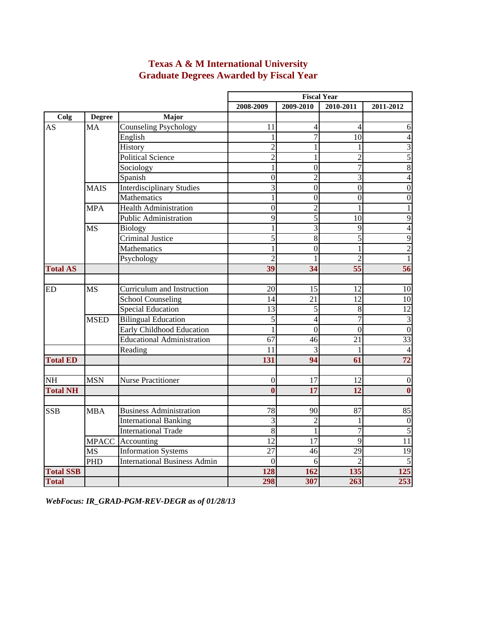|                  |               |                                     |                 |                         | <b>Fiscal Year</b> |                         |
|------------------|---------------|-------------------------------------|-----------------|-------------------------|--------------------|-------------------------|
|                  |               |                                     | 2008-2009       | 2009-2010               | 2010-2011          | 2011-2012               |
| Colg             | <b>Degree</b> | Major                               |                 |                         |                    |                         |
| <b>AS</b>        | <b>MA</b>     | <b>Counseling Psychology</b>        | 11              | $\overline{4}$          | $\overline{4}$     | 6                       |
|                  |               | English                             | 1               | 7                       | 10                 | $\overline{4}$          |
|                  |               | History                             | $\overline{2}$  | 1                       | 1                  | $\overline{3}$          |
|                  |               | <b>Political Science</b>            | $\overline{c}$  | 1                       | $\overline{2}$     | $\overline{5}$          |
|                  |               | Sociology                           | 1               | $\boldsymbol{0}$        | $\tau$             | $\overline{8}$          |
|                  |               | Spanish                             | $\overline{0}$  | $\overline{2}$          | $\overline{3}$     | $\overline{4}$          |
|                  | <b>MAIS</b>   | <b>Interdisciplinary Studies</b>    | $\overline{3}$  | $\overline{0}$          | $\overline{0}$     | $\boldsymbol{0}$        |
|                  |               | Mathematics                         | $\mathbf{1}$    | $\overline{0}$          | $\overline{0}$     | $\overline{0}$          |
|                  | <b>MPA</b>    | <b>Health Administration</b>        | $\overline{0}$  | $\overline{c}$          | 1                  | $\mathbf{1}$            |
|                  |               | <b>Public Administration</b>        | 9               | 5                       | 10                 | $\overline{9}$          |
|                  | <b>MS</b>     | <b>Biology</b>                      | 1               | $\overline{\mathbf{3}}$ | $\overline{9}$     | $\overline{4}$          |
|                  |               | Criminal Justice                    | 5               | 8                       | $\overline{5}$     | $\overline{9}$          |
|                  |               | Mathematics                         | $\mathbf{1}$    | $\overline{0}$          | $\mathbf{1}$       | $\overline{2}$          |
|                  |               | Psychology                          | $\overline{2}$  |                         | $\overline{2}$     | $\mathbf{1}$            |
| <b>Total AS</b>  |               |                                     | 39              | 34                      | 55                 | 56                      |
|                  |               |                                     |                 |                         |                    |                         |
| ED               | <b>MS</b>     | Curriculum and Instruction          | 20              | 15                      | 12                 | 10                      |
|                  |               | <b>School Counseling</b>            | 14              | 21                      | 12                 | 10                      |
|                  |               | <b>Special Education</b>            | 13              | $\overline{5}$          | $\bf 8$            | 12                      |
|                  | <b>MSED</b>   | <b>Bilingual Education</b>          | 5               | $\overline{4}$          | $\overline{7}$     | $\overline{\mathbf{3}}$ |
|                  |               | Early Childhood Education           | $\mathbf{1}$    | $\theta$                | $\theta$           | $\overline{0}$          |
|                  |               | <b>Educational Administration</b>   | $\overline{67}$ | 46                      | 21                 | $\overline{33}$         |
|                  |               | Reading                             | 11              | $\overline{3}$          | 1                  | $\overline{4}$          |
| <b>Total ED</b>  |               |                                     | 131             | 94                      | 61                 | 72                      |
|                  |               |                                     |                 |                         |                    |                         |
| <b>NH</b>        | <b>MSN</b>    | <b>Nurse Practitioner</b>           | $\overline{0}$  | 17                      | 12                 | $\boldsymbol{0}$        |
| <b>Total NH</b>  |               |                                     | $\bf{0}$        | 17                      | 12                 | $\bf{0}$                |
|                  |               |                                     |                 |                         |                    |                         |
| <b>SSB</b>       | <b>MBA</b>    | <b>Business Administration</b>      | 78              | 90                      | 87                 | 85                      |
|                  |               | <b>International Banking</b>        | 3               | $\overline{c}$          | 1                  | $\boldsymbol{0}$        |
|                  |               | <b>International Trade</b>          | $\overline{8}$  | 1                       | $\overline{7}$     | $\overline{5}$          |
|                  |               | MPACC Accounting                    | $\overline{12}$ | 17                      | $\overline{9}$     | 11                      |
|                  | <b>MS</b>     | <b>Information Systems</b>          | $\overline{27}$ | 46                      | 29                 | 19                      |
|                  | <b>PHD</b>    | <b>International Business Admin</b> | $\theta$        | 6                       | $\mathfrak{D}$     | $\overline{5}$          |
| <b>Total SSB</b> |               |                                     | 128             | 162                     | 135                | 125                     |
| <b>Total</b>     |               |                                     | 298             | 307                     | 263                | 253                     |

# **Texas A & M International University Graduate Degrees Awarded by Fiscal Year**

*WebFocus: IR\_GRAD-PGM-REV-DEGR as of 01/28/13*